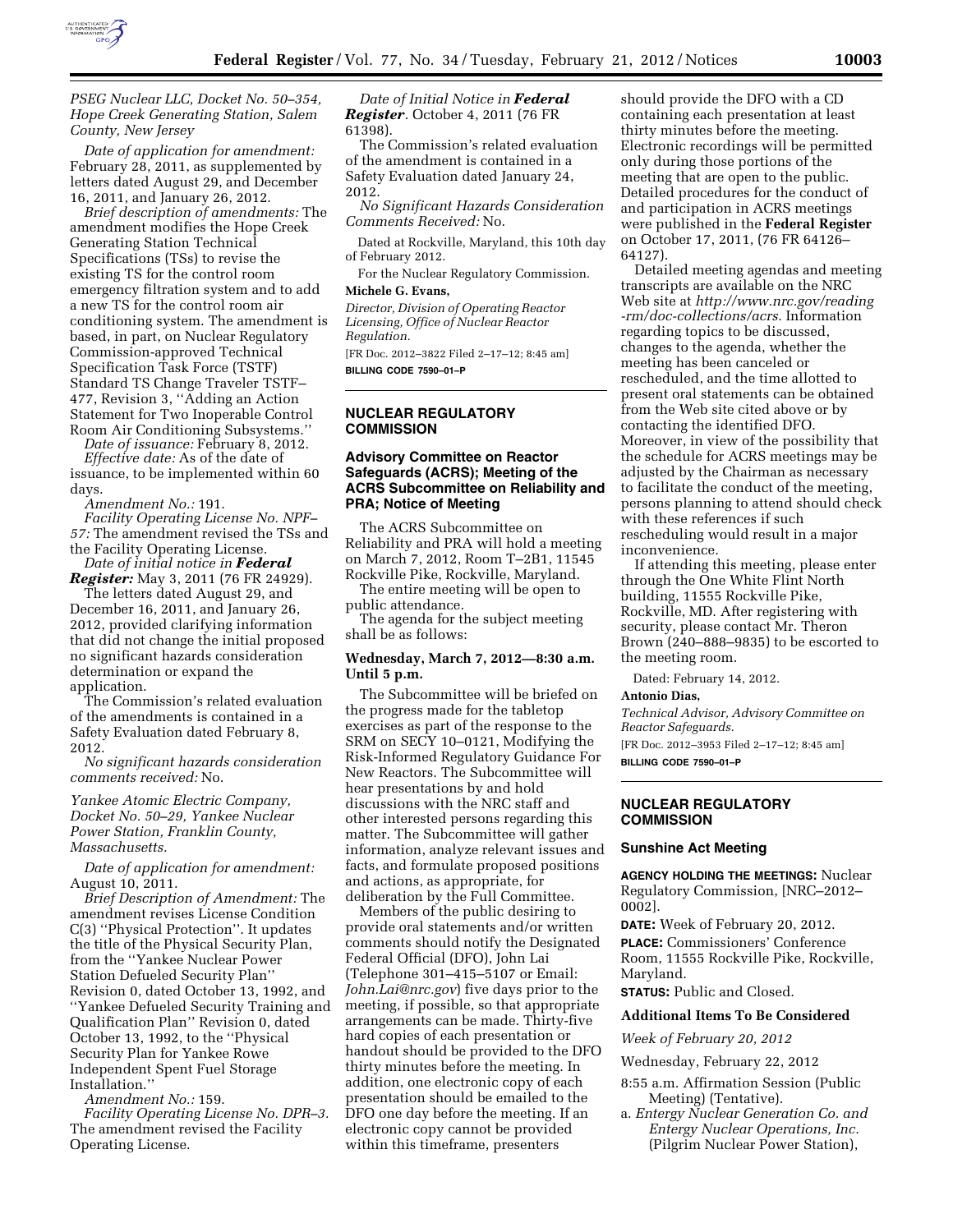

*PSEG Nuclear LLC, Docket No. 50–354, Hope Creek Generating Station, Salem County, New Jersey* 

*Date of application for amendment:*  February 28, 2011, as supplemented by letters dated August 29, and December 16, 2011, and January 26, 2012.

*Brief description of amendments:* The amendment modifies the Hope Creek Generating Station Technical Specifications (TSs) to revise the existing TS for the control room emergency filtration system and to add a new TS for the control room air conditioning system. The amendment is based, in part, on Nuclear Regulatory Commission-approved Technical Specification Task Force (TSTF) Standard TS Change Traveler TSTF– 477, Revision 3, ''Adding an Action Statement for Two Inoperable Control Room Air Conditioning Subsystems.''

*Date of issuance:* February 8, 2012. *Effective date:* As of the date of

issuance, to be implemented within 60 days.

*Amendment No.:* 191.

*Facility Operating License No. NPF– 57:* The amendment revised the TSs and the Facility Operating License.

*Date of initial notice in Federal Register:* May 3, 2011 (76 FR 24929).

The letters dated August 29, and December 16, 2011, and January 26, 2012, provided clarifying information that did not change the initial proposed no significant hazards consideration determination or expand the application.

The Commission's related evaluation of the amendments is contained in a Safety Evaluation dated February 8, 2012.

*No significant hazards consideration comments received:* No.

*Yankee Atomic Electric Company, Docket No. 50–29, Yankee Nuclear Power Station, Franklin County, Massachusetts.* 

*Date of application for amendment:*  August 10, 2011.

*Brief Description of Amendment:* The amendment revises License Condition C(3) ''Physical Protection''. It updates the title of the Physical Security Plan, from the ''Yankee Nuclear Power Station Defueled Security Plan'' Revision 0, dated October 13, 1992, and ''Yankee Defueled Security Training and Qualification Plan'' Revision 0, dated October 13, 1992, to the ''Physical Security Plan for Yankee Rowe Independent Spent Fuel Storage Installation.''

*Amendment No.:* 159.

*Facility Operating License No. DPR–3.*  The amendment revised the Facility Operating License.

*Date of Initial Notice in Federal Register*. October 4, 2011 (76 FR 61398).

The Commission's related evaluation of the amendment is contained in a Safety Evaluation dated January 24, 2012.

*No Significant Hazards Consideration Comments Received:* No.

Dated at Rockville, Maryland, this 10th day of February 2012.

For the Nuclear Regulatory Commission.

### **Michele G. Evans,**

*Director, Division of Operating Reactor Licensing, Office of Nuclear Reactor Regulation.*  [FR Doc. 2012–3822 Filed 2–17–12; 8:45 am]

**BILLING CODE 7590–01–P** 

#### **NUCLEAR REGULATORY COMMISSION**

## **Advisory Committee on Reactor Safeguards (ACRS); Meeting of the ACRS Subcommittee on Reliability and PRA; Notice of Meeting**

The ACRS Subcommittee on Reliability and PRA will hold a meeting on March 7, 2012, Room T–2B1, 11545 Rockville Pike, Rockville, Maryland.

The entire meeting will be open to public attendance.

The agenda for the subject meeting shall be as follows:

## **Wednesday, March 7, 2012—8:30 a.m. Until 5 p.m.**

The Subcommittee will be briefed on the progress made for the tabletop exercises as part of the response to the SRM on SECY 10–0121, Modifying the Risk-Informed Regulatory Guidance For New Reactors. The Subcommittee will hear presentations by and hold discussions with the NRC staff and other interested persons regarding this matter. The Subcommittee will gather information, analyze relevant issues and facts, and formulate proposed positions and actions, as appropriate, for deliberation by the Full Committee.

Members of the public desiring to provide oral statements and/or written comments should notify the Designated Federal Official (DFO), John Lai (Telephone 301–415–5107 or Email: *[John.Lai@nrc.gov](mailto:John.Lai@nrc.gov)*) five days prior to the meeting, if possible, so that appropriate arrangements can be made. Thirty-five hard copies of each presentation or handout should be provided to the DFO thirty minutes before the meeting. In addition, one electronic copy of each presentation should be emailed to the DFO one day before the meeting. If an electronic copy cannot be provided within this timeframe, presenters

should provide the DFO with a CD containing each presentation at least thirty minutes before the meeting. Electronic recordings will be permitted only during those portions of the meeting that are open to the public. Detailed procedures for the conduct of and participation in ACRS meetings were published in the **Federal Register**  on October 17, 2011, (76 FR 64126– 64127).

Detailed meeting agendas and meeting transcripts are available on the NRC Web site at *[http://www.nrc.gov/reading](http://www.nrc.gov/reading-rm/doc-collections/acrs) [-rm/doc-collections/acrs.](http://www.nrc.gov/reading-rm/doc-collections/acrs)* Information regarding topics to be discussed, changes to the agenda, whether the meeting has been canceled or rescheduled, and the time allotted to present oral statements can be obtained from the Web site cited above or by contacting the identified DFO. Moreover, in view of the possibility that the schedule for ACRS meetings may be adjusted by the Chairman as necessary to facilitate the conduct of the meeting, persons planning to attend should check with these references if such rescheduling would result in a major inconvenience.

If attending this meeting, please enter through the One White Flint North building, 11555 Rockville Pike, Rockville, MD. After registering with security, please contact Mr. Theron Brown (240–888–9835) to be escorted to the meeting room.

Dated: February 14, 2012.

#### **Antonio Dias,**

*Technical Advisor, Advisory Committee on Reactor Safeguards.* 

[FR Doc. 2012–3953 Filed 2–17–12; 8:45 am]

**BILLING CODE 7590–01–P** 

#### **NUCLEAR REGULATORY COMMISSION**

#### **Sunshine Act Meeting**

**AGENCY HOLDING THE MEETINGS:** Nuclear Regulatory Commission, [NRC–2012– 0002].

**DATE:** Week of February 20, 2012. **PLACE:** Commissioners' Conference Room, 11555 Rockville Pike, Rockville, Maryland.

**STATUS:** Public and Closed.

#### **Additional Items To Be Considered**

*Week of February 20, 2012* 

Wednesday, February 22, 2012

- 8:55 a.m. Affirmation Session (Public Meeting) (Tentative).
- a. *Entergy Nuclear Generation Co. and Entergy Nuclear Operations, Inc.*  (Pilgrim Nuclear Power Station),